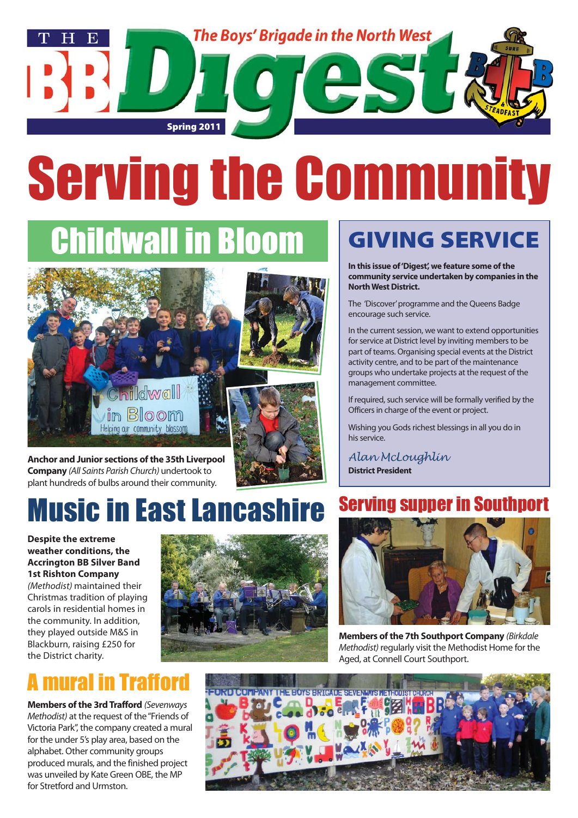

# Serving the Community

## **Idwall in Bloom**



**Anchor and Junior sections of the 35th Liverpool Company** (All Saints Parish Church) undertook to plant hundreds of bulbs around their community.

## Music in East Lancashire

**Despite the extreme weather conditions, the Accrington BB Silver Band 1st Rishton Company** (Methodist) maintained their Christmas tradition of playing carols in residential homes in the community. In addition, they played outside M&S in Blackburn, raising £250 for the District charity.

### mural in Trafford

**Members of the 3rd Trafford** (Sevenways Methodist) at the request of the "Friends of Victoria Park", the company created a mural for the under 5's play area, based on the alphabet. Other community groups produced murals, and the finished project was unveiled by Kate Green OBE, the MP for Stretford and Urmston.



## GIVING SERVICE

**In this issue of 'Digest', we feature some of the community service undertaken by companies in the North West District.**

The 'Discover'programme and the Queens Badge encourage such service.

In the current session, we want to extend opportunities for service at District level by inviting members to be part of teams. Organising special events at the District activity centre, and to be part of the maintenance groups who undertake projects at the request of the management committee.

If required, such service will be formally verified by the Officers in charge of the event or project.

Wishing you Gods richest blessings in all you do in his service.

*Alan McLoughlin* **District President**

### Serving supper in Southport



**Members of the 7th Southport Company** (Birkdale Methodist) regularly visit the Methodist Home for the Aged, at Connell Court Southport.

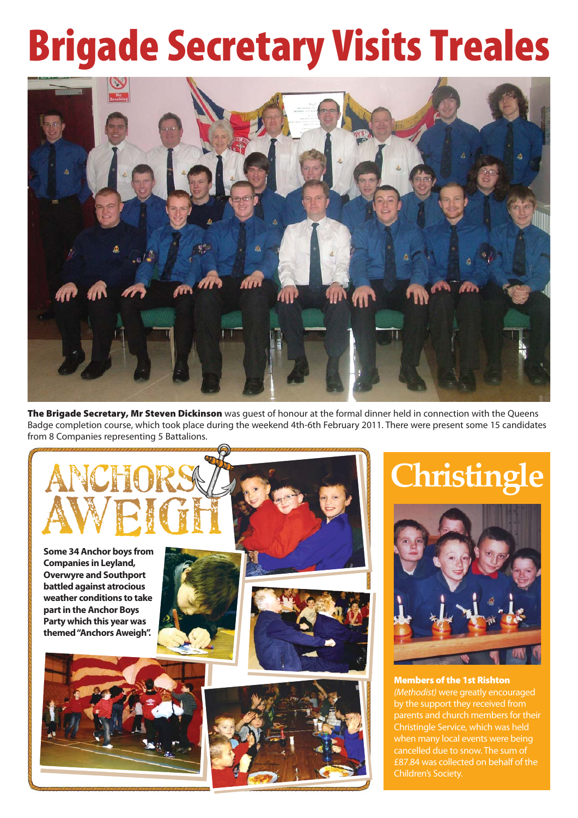## Brigade Secretary Visits Treales



The Brigade Secretary, Mr Steven Dickinson was guest of honour at the formal dinner held in connection with the Queens Badge completion course, which took place during the weekend 4th-6th February 2011. There were present some 15 candidates from 8 Companies representing 5 Battalions.



## **Christingle**



Members of the 1st Rishton (Methodist) were greatly encouraged by the support they received from parents and church members for their Christingle Service, which was held when many local events were being cancelled due to snow. The sum of £87.84 was collected on behalf of the Children's Society.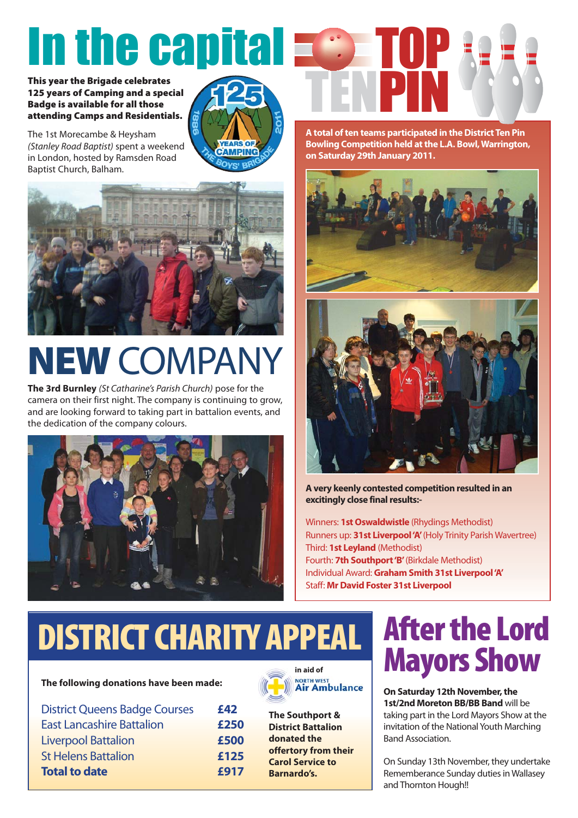# In the capital  $\blacksquare$

This year the Brigade celebrates 125 years of Camping and a special Badge is available for all those attending Camps and Residentials.

The 1st Morecambe & Heysham (Stanley Road Baptist) spent a weekend in London, hosted by Ramsden Road Baptist Church, Balham.





## NEW COMPANY

**The 3rd Burnley** (St Catharine's Parish Church) pose for the camera on their first night. The company is continuing to grow, and are looking forward to taking part in battalion events, and the dedication of the company colours.





**A total of ten teams participated in the District Ten Pin Bowling Competition held at the L.A. Bowl, Warrington, on Saturday 29th January 2011.**





**A very keenly contested competition resulted in an excitingly close final results:-**

Winners: **1st Oswaldwistle** (Rhydings Methodist) Runners up: **31st Liverpool 'A'**(Holy Trinity Parish Wavertree) Third: **1st Leyland** (Methodist) Fourth: **7th Southport 'B'**(Birkdale Methodist) Individual Award: **Graham Smith 31st Liverpool 'A'** Staff: **Mr David Foster 31st Liverpool**

## DISTRICT CHARITY APPEAL

#### **The following donations have been made:**

| <b>District Queens Badge Courses</b> | £42  |
|--------------------------------------|------|
| <b>East Lancashire Battalion</b>     | £250 |
| <b>Liverpool Battalion</b>           | £500 |
| <b>St Helens Battalion</b>           | £125 |
| <b>Total to date</b>                 | £917 |



**The Southport & District Battalion donated the offertory from their Carol Service to Barnardo's.**

## After the Lord Mayors Show

**On Saturday 12th November, the 1st/2nd Moreton BB/BB Band** will be taking part in the Lord Mayors Show at the invitation of the National Youth Marching Band Association.

On Sunday 13th November, they undertake Rememberance Sunday duties in Wallasey and Thornton Hough!!